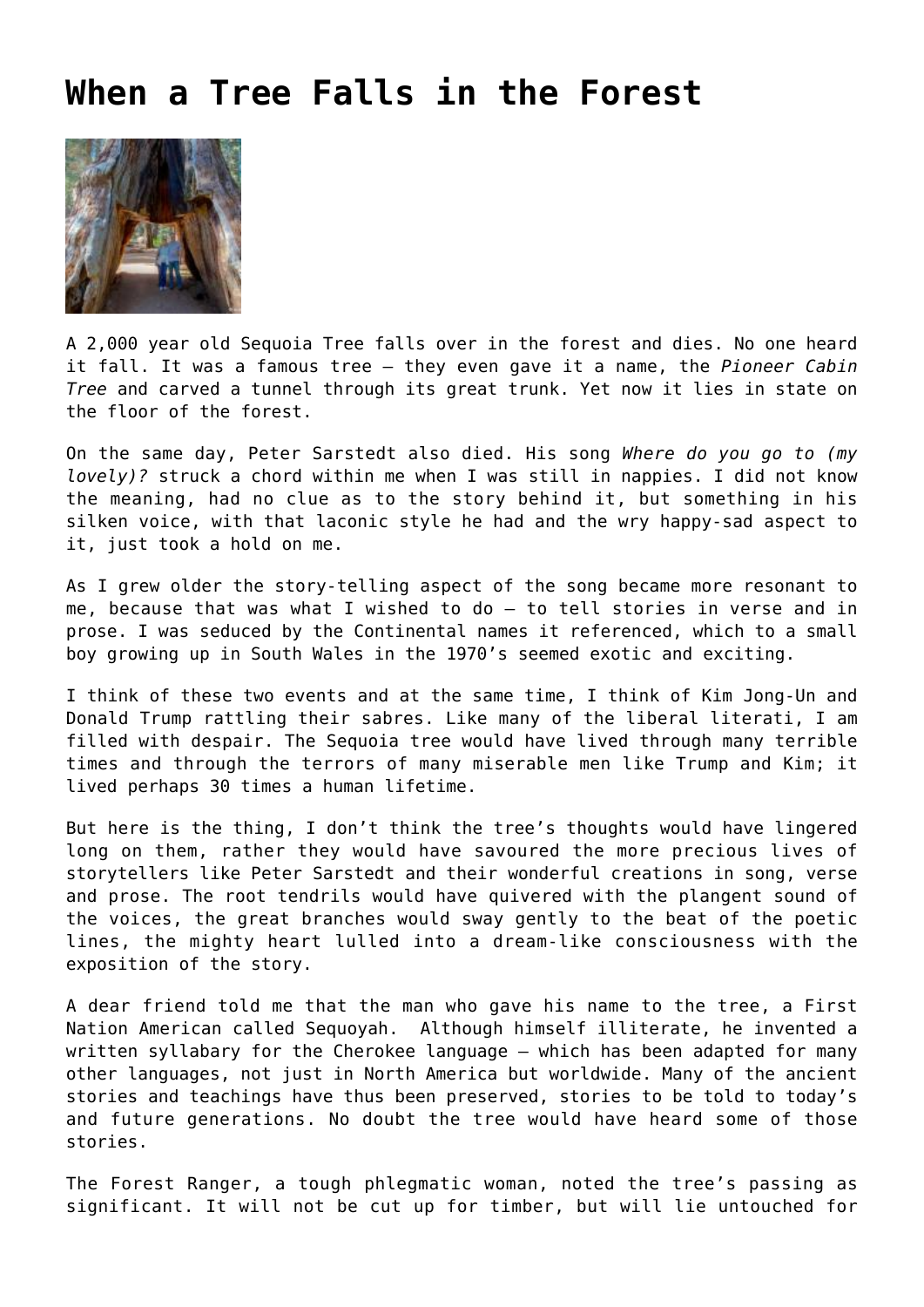## **[When a Tree Falls in the Forest](https://corncrakemagazine.com/article/when-a-tree-falls-in-the-forest/)**



A 2,000 year old Sequoia Tree falls over in the forest and dies. No one heard it fall. It was a famous tree – they even gave it a name, the *Pioneer Cabin Tree* and carved a tunnel through its great trunk. Yet now it lies in state on the floor of the forest.

On the same day, Peter Sarstedt also died. His song *Where do you go to (my lovely)?* struck a chord within me when I was still in nappies. I did not know the meaning, had no clue as to the story behind it, but something in his silken voice, with that laconic style he had and the wry happy-sad aspect to it, just took a hold on me.

As I grew older the story-telling aspect of the song became more resonant to me, because that was what I wished to do – to tell stories in verse and in prose. I was seduced by the Continental names it referenced, which to a small boy growing up in South Wales in the 1970's seemed exotic and exciting.

I think of these two events and at the same time, I think of Kim Jong-Un and Donald Trump rattling their sabres. Like many of the liberal literati, I am filled with despair. The Sequoia tree would have lived through many terrible times and through the terrors of many miserable men like Trump and Kim; it lived perhaps 30 times a human lifetime.

But here is the thing, I don't think the tree's thoughts would have lingered long on them, rather they would have savoured the more precious lives of storytellers like Peter Sarstedt and their wonderful creations in song, verse and prose. The root tendrils would have quivered with the plangent sound of the voices, the great branches would sway gently to the beat of the poetic lines, the mighty heart lulled into a dream-like consciousness with the exposition of the story.

A dear friend told me that the man who gave his name to the tree, a First Nation American called Sequoyah. Although himself illiterate, he invented a written syllabary for the Cherokee language – which has been adapted for many other languages, not just in North America but worldwide. Many of the ancient stories and teachings have thus been preserved, stories to be told to today's and future generations. No doubt the tree would have heard some of those stories.

The Forest Ranger, a tough phlegmatic woman, noted the tree's passing as significant. It will not be cut up for timber, but will lie untouched for